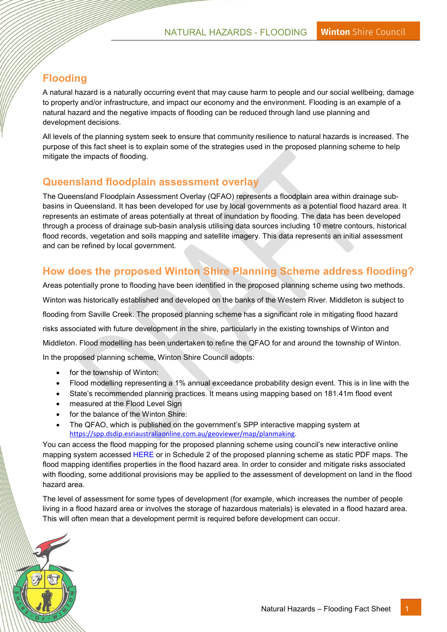## Flooding

A natural hazard is a naturally occurring event that may cause harm to people and our social wellbeing, damage to property and/or infrastructure, and impact our economy and the environment. Flooding is an example of a natural hazard and the negative impacts of flooding can be reduced through land use planning and development decisions.

All levels of the planning system seek to ensure that community resilience to natural hazards is increased. The purpose of this fact sheet is to explain some of the strategies used in the proposed planning scheme to help mitigate the impacts of flooding.

## Queensland floodplain assessment overlay

The Queensland Floodplain Assessment Overlay (QFAO) represents a floodplain area within drainage subbasins in Queensland. It has been developed for use by local governments as a potential flood hazard area. It represents an estimate of areas potentially at threat of inundation by flooding. The data has been developed through a process of drainage sub-basin analysis utilising data sources including 10 metre contours, historical flood records, vegetation and soils mapping and satellite imagery. This data represents an initial assessment and can be refined by local government.

## How does the proposed Winton Shire Planning Scheme address flooding?

Areas potentially prone to flooding have been identified in the proposed planning scheme using two methods. Winton was historically established and developed on the banks of the Western River. Middleton is subject to flooding from Saville Creek. The proposed planning scheme has a significant role in mitigating flood hazard risks associated with future development in the shire, particularly in the existing townships of Winton and Middleton. Flood modelling has been undertaken to refine the QFAO for and around the township of Winton. In the proposed planning scheme, Winton Shire Council adopts:

- for the township of Winton:
- Flood modelling representing a 1% annual exceedance probability design event. This is in line with the
- State's recommended planning practices. It means using mapping based on 181.41m flood event
- measured at the Flood Level Sign
- for the balance of the Winton Shire:
- The QFAO, which is published on the government's SPP interactive mapping system at https://spp.dsdip.esriaustraliaonline.com.au/geoviewer/map/planmaking.

You can access the flood mapping for the proposed planning scheme using council's new interactive online mapping system accessed [HERE](https://winton.maps.arcgis.com/home/index.html) or in Schedule 2 of the proposed planning scheme as static PDF maps. The flood mapping identifies properties in the flood hazard area. In order to consider and mitigate risks associated with flooding, some additional provisions may be applied to the assessment of development on land in the flood hazard area.

The level of assessment for some types of development (for example, which increases the number of people living in a flood hazard area or involves the storage of hazardous materials) is elevated in a flood hazard area. This will often mean that a development permit is required before development can occur.